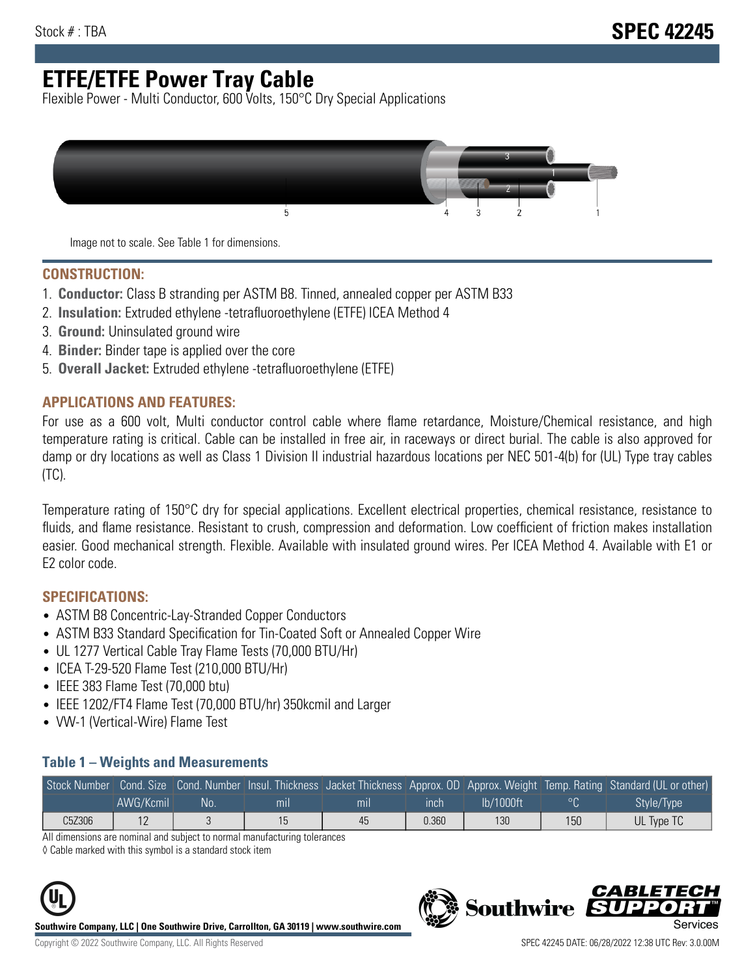# **ETFE/ETFE Power Tray Cable**

Flexible Power - Multi Conductor, 600 Volts, 150°C Dry Special Applications



Image not to scale. See Table 1 for dimensions.

#### **CONSTRUCTION:**

- 1. **Conductor:** Class B stranding per ASTM B8. Tinned, annealed copper per ASTM B33
- 2. **Insulation:** Extruded ethylene -tetrafluoroethylene (ETFE) ICEA Method 4
- 3. **Ground:** Uninsulated ground wire
- 4. **Binder:** Binder tape is applied over the core
- 5. **Overall Jacket:** Extruded ethylene -tetrafluoroethylene (ETFE)

### **APPLICATIONS AND FEATURES:**

For use as a 600 volt, Multi conductor control cable where flame retardance, Moisture/Chemical resistance, and high temperature rating is critical. Cable can be installed in free air, in raceways or direct burial. The cable is also approved for damp or dry locations as well as Class 1 Division II industrial hazardous locations per NEC 501-4(b) for (UL) Type tray cables (TC).

Temperature rating of 150°C dry for special applications. Excellent electrical properties, chemical resistance, resistance to fluids, and flame resistance. Resistant to crush, compression and deformation. Low coefficient of friction makes installation easier. Good mechanical strength. Flexible. Available with insulated ground wires. Per ICEA Method 4. Available with E1 or E2 color code.

### **SPECIFICATIONS:**

- ASTM B8 Concentric-Lay-Stranded Copper Conductors
- ASTM B33 Standard Specification for Tin-Coated Soft or Annealed Copper Wire
- UL 1277 Vertical Cable Tray Flame Tests (70,000 BTU/Hr)
- ICEA T-29-520 Flame Test (210,000 BTU/Hr)
- IEEE 383 Flame Test (70,000 btu)
- IEEE 1202/FT4 Flame Test (70,000 BTU/hr) 350kcmil and Larger
- VW-1 (Vertical-Wire) Flame Test

#### **Table 1 – Weights and Measurements**

| Stock Number |           |     |     |     |       |           |     | Cond. Size Cond. Number Insul. Thickness Jacket Thickness Approx. OD Approx. Weight Temp. Rating Standard (UL or other) |
|--------------|-----------|-----|-----|-----|-------|-----------|-----|-------------------------------------------------------------------------------------------------------------------------|
|              | AWG/Kcmil | No. | mıl | mil | ınch  | lb/1000ft |     | Style/Type                                                                                                              |
| C5Z306       | . L       |     |     | 45  | 0.360 | 130       | 150 | UL Type TC                                                                                                              |

All dimensions are nominal and subject to normal manufacturing tolerances

◊ Cable marked with this symbol is a standard stock item



**Southwire Company, LLC | One Southwire Drive, Carrollton, GA 30119 | www.southwire.com**